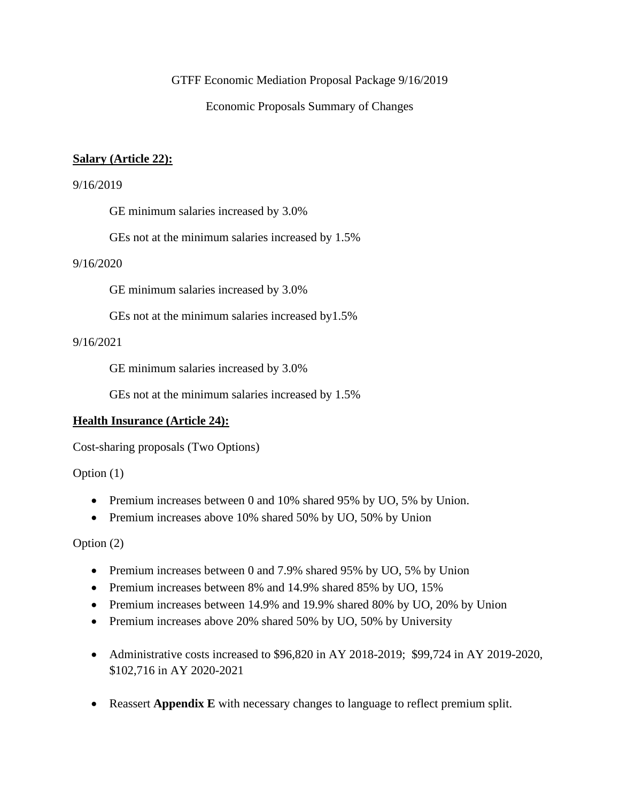#### GTFF Economic Mediation Proposal Package 9/16/2019

Economic Proposals Summary of Changes

### **Salary (Article 22):**

#### 9/16/2019

GE minimum salaries increased by 3.0%

GEs not at the minimum salaries increased by 1.5%

### 9/16/2020

GE minimum salaries increased by 3.0%

GEs not at the minimum salaries increased by1.5%

### 9/16/2021

GE minimum salaries increased by 3.0%

GEs not at the minimum salaries increased by 1.5%

#### **Health Insurance (Article 24):**

Cost-sharing proposals (Two Options)

Option (1)

- Premium increases between 0 and 10% shared 95% by UO, 5% by Union.
- Premium increases above 10% shared 50% by UO, 50% by Union

Option (2)

- Premium increases between 0 and 7.9% shared 95% by UO, 5% by Union
- Premium increases between 8% and 14.9% shared 85% by UO, 15%
- Premium increases between 14.9% and 19.9% shared 80% by UO, 20% by Union
- Premium increases above 20% shared 50% by UO, 50% by University
- Administrative costs increased to \$96,820 in AY 2018-2019; \$99,724 in AY 2019-2020, \$102,716 in AY 2020-2021
- Reassert **Appendix E** with necessary changes to language to reflect premium split.